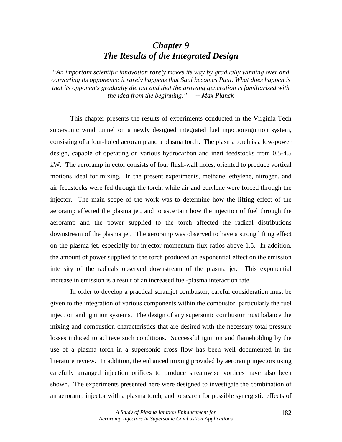# *Chapter 9 The Results of the Integrated Design*

*"An important scientific innovation rarely makes its way by gradually winning over and converting its opponents: it rarely happens that Saul becomes Paul. What does happen is that its opponents gradually die out and that the growing generation is familiarized with the idea from the beginning." -- Max Planck* 

This chapter presents the results of experiments conducted in the Virginia Tech supersonic wind tunnel on a newly designed integrated fuel injection/ignition system, consisting of a four-holed aeroramp and a plasma torch. The plasma torch is a low-power design, capable of operating on various hydrocarbon and inert feedstocks from 0.5-4.5 kW. The aeroramp injector consists of four flush-wall holes, oriented to produce vortical motions ideal for mixing. In the present experiments, methane, ethylene, nitrogen, and air feedstocks were fed through the torch, while air and ethylene were forced through the injector. The main scope of the work was to determine how the lifting effect of the aeroramp affected the plasma jet, and to ascertain how the injection of fuel through the aeroramp and the power supplied to the torch affected the radical distributions downstream of the plasma jet. The aeroramp was observed to have a strong lifting effect on the plasma jet, especially for injector momentum flux ratios above 1.5. In addition, the amount of power supplied to the torch produced an exponential effect on the emission intensity of the radicals observed downstream of the plasma jet. This exponential increase in emission is a result of an increased fuel-plasma interaction rate.

In order to develop a practical scramjet combustor, careful consideration must be given to the integration of various components within the combustor, particularly the fuel injection and ignition systems. The design of any supersonic combustor must balance the mixing and combustion characteristics that are desired with the necessary total pressure losses induced to achieve such conditions. Successful ignition and flameholding by the use of a plasma torch in a supersonic cross flow has been well documented in the literature review. In addition, the enhanced mixing provided by aeroramp injectors using carefully arranged injection orifices to produce streamwise vortices have also been shown. The experiments presented here were designed to investigate the combination of an aeroramp injector with a plasma torch, and to search for possible synergistic effects of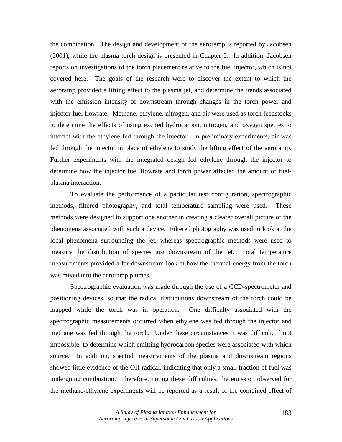the combination. The design and development of the aeroramp is reported by Jacobsen (2001), while the plasma torch design is presented in Chapter 2. In addition, Jacobsen reports on investigations of the torch placement relative to the fuel injector, which is not covered here. The goals of the research were to discover the extent to which the aeroramp provided a lifting effect to the plasma jet, and determine the trends associated with the emission intensity of downstream through changes in the torch power and injector fuel flowrate. Methane, ethylene, nitrogen, and air were used as torch feedstocks to determine the effects of using excited hydrocarbon, nitrogen, and oxygen species to interact with the ethylene fed through the injector. In preliminary experiments, air was fed through the injector in place of ethylene to study the lifting effect of the aeroramp. Further experiments with the integrated design fed ethylene through the injector to determine how the injector fuel flowrate and torch power affected the amount of fuelplasma interaction.

 To evaluate the performance of a particular test configuration, spectrographic methods, filtered photography, and total temperature sampling were used. These methods were designed to support one another in creating a clearer overall picture of the phenomena associated with such a device. Filtered photography was used to look at the local phenomena surrounding the jet, whereas spectrographic methods were used to measure the distribution of species just downstream of the jet. Total temperature measurements provided a far-downstream look at how the thermal energy from the torch was mixed into the aeroramp plumes.

Spectrographic evaluation was made through the use of a CCD-spectrometer and positioning devices, so that the radical distributions downstream of the torch could be mapped while the torch was in operation. One difficulty associated with the spectrographic measurements occurred when ethylene was fed through the injector and methane was fed through the torch. Under these circumstances it was difficult, if not impossible, to determine which emitting hydrocarbon species were associated with which source. In addition, spectral measurements of the plasma and downstream regions showed little evidence of the OH radical, indicating that only a small fraction of fuel was undergoing combustion. Therefore, noting these difficulties, the emission observed for the methane-ethylene experiments will be reported as a result of the combined effect of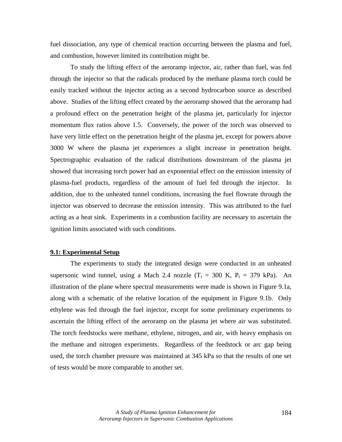fuel dissociation, any type of chemical reaction occurring between the plasma and fuel, and combustion, however limited its contribution might be.

To study the lifting effect of the aeroramp injector, air, rather than fuel, was fed through the injector so that the radicals produced by the methane plasma torch could be easily tracked without the injector acting as a second hydrocarbon source as described above. Studies of the lifting effect created by the aeroramp showed that the aeroramp had a profound effect on the penetration height of the plasma jet, particularly for injector momentum flux ratios above 1.5. Conversely, the power of the torch was observed to have very little effect on the penetration height of the plasma jet, except for powers above 3000 W where the plasma jet experiences a slight increase in penetration height. Spectrographic evaluation of the radical distributions downstream of the plasma jet showed that increasing torch power had an exponential effect on the emission intensity of plasma-fuel products, regardless of the amount of fuel fed through the injector. In addition, due to the unheated tunnel conditions, increasing the fuel flowrate through the injector was observed to decrease the emission intensity. This was attributed to the fuel acting as a heat sink. Experiments in a combustion facility are necessary to ascertain the ignition limits associated with such conditions.

## **9.1: Experimental Setup**

The experiments to study the integrated design were conducted in an unheated supersonic wind tunnel, using a Mach 2.4 nozzle  $(T_t = 300 \text{ K}, P_t = 379 \text{ kPa})$ . An illustration of the plane where spectral measurements were made is shown in Figure 9.1a, along with a schematic of the relative location of the equipment in Figure 9.1b. Only ethylene was fed through the fuel injector, except for some preliminary experiments to ascertain the lifting effect of the aeroramp on the plasma jet where air was substituted. The torch feedstocks were methane, ethylene, nitrogen, and air, with heavy emphasis on the methane and nitrogen experiments. Regardless of the feedstock or arc gap being used, the torch chamber pressure was maintained at 345 kPa so that the results of one set of tests would be more comparable to another set.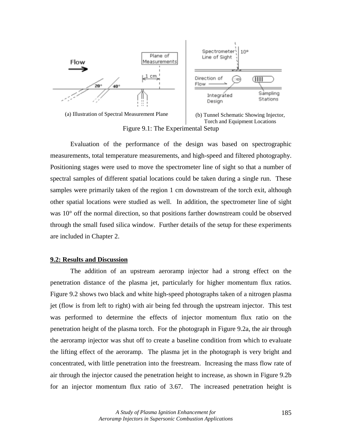

Figure 9.1: The Experimental Setup

Evaluation of the performance of the design was based on spectrographic measurements, total temperature measurements, and high-speed and filtered photography. Positioning stages were used to move the spectrometer line of sight so that a number of spectral samples of different spatial locations could be taken during a single run. These samples were primarily taken of the region 1 cm downstream of the torch exit, although other spatial locations were studied as well. In addition, the spectrometer line of sight was 10° off the normal direction, so that positions farther downstream could be observed through the small fused silica window. Further details of the setup for these experiments are included in Chapter 2.

## **9.2: Results and Discussion**

 The addition of an upstream aeroramp injector had a strong effect on the penetration distance of the plasma jet, particularly for higher momentum flux ratios. Figure 9.2 shows two black and white high-speed photographs taken of a nitrogen plasma jet (flow is from left to right) with air being fed through the upstream injector. This test was performed to determine the effects of injector momentum flux ratio on the penetration height of the plasma torch. For the photograph in Figure 9.2a, the air through the aeroramp injector was shut off to create a baseline condition from which to evaluate the lifting effect of the aeroramp. The plasma jet in the photograph is very bright and concentrated, with little penetration into the freestream. Increasing the mass flow rate of air through the injector caused the penetration height to increase, as shown in Figure 9.2b for an injector momentum flux ratio of 3.67. The increased penetration height is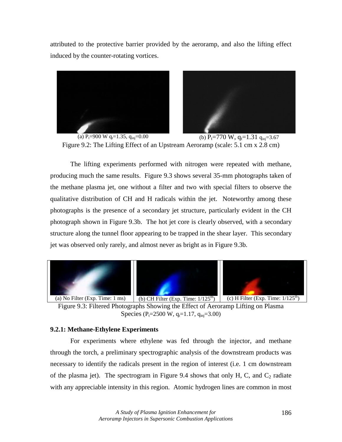attributed to the protective barrier provided by the aeroramp, and also the lifting effect induced by the counter-rotating vortices.





(a)  $P_f=900 \text{ W } q_f=1.35, q_{inj}=0.00$  (b)  $P_f=770 \text{ W}, q_f=1.31 q_{inj}=3.67$ Figure 9.2: The Lifting Effect of an Upstream Aeroramp (scale: 5.1 cm x 2.8 cm)

 The lifting experiments performed with nitrogen were repeated with methane, producing much the same results. Figure 9.3 shows several 35-mm photographs taken of the methane plasma jet, one without a filter and two with special filters to observe the qualitative distribution of CH and H radicals within the jet. Noteworthy among these photographs is the presence of a secondary jet structure, particularly evident in the CH photograph shown in Figure 9.3b. The hot jet core is clearly observed, with a secondary structure along the tunnel floor appearing to be trapped in the shear layer. This secondary jet was observed only rarely, and almost never as bright as in Figure 9.3b.



Figure 9.3: Filtered Photographs Showing the Effect of Aeroramp Lifting on Plasma Species (P<sub>t</sub>=2500 W, q<sub>t</sub>=1.17, q<sub>inj</sub>=3.00)

## **9.2.1: Methane-Ethylene Experiments**

 For experiments where ethylene was fed through the injector, and methane through the torch, a preliminary spectrographic analysis of the downstream products was necessary to identify the radicals present in the region of interest (i.e. 1 cm downstream of the plasma jet). The spectrogram in Figure 9.4 shows that only H, C, and  $C_2$  radiate with any appreciable intensity in this region. Atomic hydrogen lines are common in most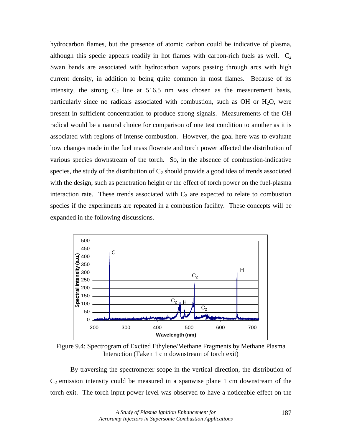hydrocarbon flames, but the presence of atomic carbon could be indicative of plasma, although this specie appears readily in hot flames with carbon-rich fuels as well.  $C_2$ Swan bands are associated with hydrocarbon vapors passing through arcs with high current density, in addition to being quite common in most flames. Because of its intensity, the strong  $C_2$  line at 516.5 nm was chosen as the measurement basis, particularly since no radicals associated with combustion, such as OH or  $H_2O$ , were present in sufficient concentration to produce strong signals. Measurements of the OH radical would be a natural choice for comparison of one test condition to another as it is associated with regions of intense combustion. However, the goal here was to evaluate how changes made in the fuel mass flowrate and torch power affected the distribution of various species downstream of the torch. So, in the absence of combustion-indicative species, the study of the distribution of  $C_2$  should provide a good idea of trends associated with the design, such as penetration height or the effect of torch power on the fuel-plasma interaction rate. These trends associated with  $C_2$  are expected to relate to combustion species if the experiments are repeated in a combustion facility. These concepts will be expanded in the following discussions.



Figure 9.4: Spectrogram of Excited Ethylene/Methane Fragments by Methane Plasma Interaction (Taken 1 cm downstream of torch exit)

 By traversing the spectrometer scope in the vertical direction, the distribution of  $C_2$  emission intensity could be measured in a spanwise plane 1 cm downstream of the torch exit. The torch input power level was observed to have a noticeable effect on the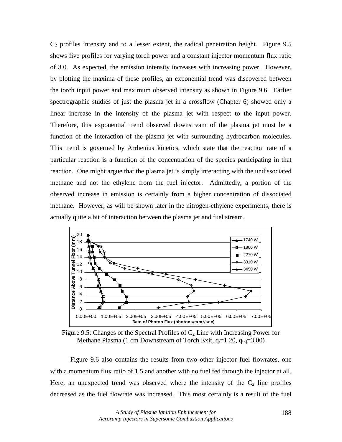$C_2$  profiles intensity and to a lesser extent, the radical penetration height. Figure 9.5 shows five profiles for varying torch power and a constant injector momentum flux ratio of 3.0. As expected, the emission intensity increases with increasing power. However, by plotting the maxima of these profiles, an exponential trend was discovered between the torch input power and maximum observed intensity as shown in Figure 9.6. Earlier spectrographic studies of just the plasma jet in a crossflow (Chapter 6) showed only a linear increase in the intensity of the plasma jet with respect to the input power. Therefore, this exponential trend observed downstream of the plasma jet must be a function of the interaction of the plasma jet with surrounding hydrocarbon molecules. This trend is governed by Arrhenius kinetics, which state that the reaction rate of a particular reaction is a function of the concentration of the species participating in that reaction. One might argue that the plasma jet is simply interacting with the undissociated methane and not the ethylene from the fuel injector. Admittedly, a portion of the observed increase in emission is certainly from a higher concentration of dissociated methane. However, as will be shown later in the nitrogen-ethylene experiments, there is actually quite a bit of interaction between the plasma jet and fuel stream.



Figure 9.5: Changes of the Spectral Profiles of  $C_2$  Line with Increasing Power for Methane Plasma (1 cm Downstream of Torch Exit,  $q_t$ =1.20,  $q_{ini}$ =3.00)

 Figure 9.6 also contains the results from two other injector fuel flowrates, one with a momentum flux ratio of 1.5 and another with no fuel fed through the injector at all. Here, an unexpected trend was observed where the intensity of the  $C_2$  line profiles decreased as the fuel flowrate was increased. This most certainly is a result of the fuel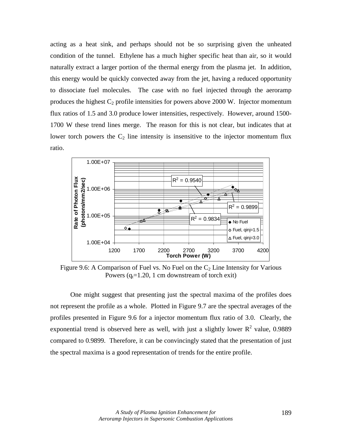acting as a heat sink, and perhaps should not be so surprising given the unheated condition of the tunnel. Ethylene has a much higher specific heat than air, so it would naturally extract a larger portion of the thermal energy from the plasma jet. In addition, this energy would be quickly convected away from the jet, having a reduced opportunity to dissociate fuel molecules. The case with no fuel injected through the aeroramp produces the highest  $C_2$  profile intensities for powers above 2000 W. Injector momentum flux ratios of 1.5 and 3.0 produce lower intensities, respectively. However, around 1500- 1700 W these trend lines merge. The reason for this is not clear, but indicates that at lower torch powers the  $C_2$  line intensity is insensitive to the injector momentum flux ratio.



Figure 9.6: A Comparison of Fuel vs. No Fuel on the  $C_2$  Line Intensity for Various Powers  $(q_t=1.20, 1 \text{ cm}$  downstream of torch exit)

 One might suggest that presenting just the spectral maxima of the profiles does not represent the profile as a whole. Plotted in Figure 9.7 are the spectral averages of the profiles presented in Figure 9.6 for a injector momentum flux ratio of 3.0. Clearly, the exponential trend is observed here as well, with just a slightly lower  $R^2$  value, 0.9889 compared to 0.9899. Therefore, it can be convincingly stated that the presentation of just the spectral maxima is a good representation of trends for the entire profile.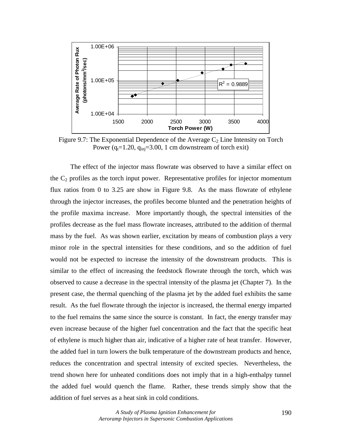

Figure 9.7: The Exponential Dependence of the Average  $C_2$  Line Intensity on Torch Power ( $q_t$ =1.20,  $q_{in}$  =3.00, 1 cm downstream of torch exit)

 The effect of the injector mass flowrate was observed to have a similar effect on the  $C_2$  profiles as the torch input power. Representative profiles for injector momentum flux ratios from 0 to 3.25 are show in Figure 9.8. As the mass flowrate of ethylene through the injector increases, the profiles become blunted and the penetration heights of the profile maxima increase. More importantly though, the spectral intensities of the profiles decrease as the fuel mass flowrate increases, attributed to the addition of thermal mass by the fuel. As was shown earlier, excitation by means of combustion plays a very minor role in the spectral intensities for these conditions, and so the addition of fuel would not be expected to increase the intensity of the downstream products. This is similar to the effect of increasing the feedstock flowrate through the torch, which was observed to cause a decrease in the spectral intensity of the plasma jet (Chapter 7). In the present case, the thermal quenching of the plasma jet by the added fuel exhibits the same result. As the fuel flowrate through the injector is increased, the thermal energy imparted to the fuel remains the same since the source is constant. In fact, the energy transfer may even increase because of the higher fuel concentration and the fact that the specific heat of ethylene is much higher than air, indicative of a higher rate of heat transfer. However, the added fuel in turn lowers the bulk temperature of the downstream products and hence, reduces the concentration and spectral intensity of excited species. Nevertheless, the trend shown here for unheated conditions does not imply that in a high-enthalpy tunnel the added fuel would quench the flame. Rather, these trends simply show that the addition of fuel serves as a heat sink in cold conditions.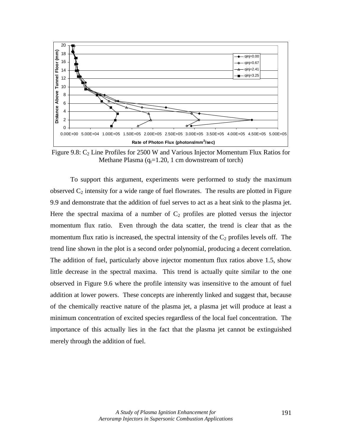

Figure 9.8:  $C_2$  Line Profiles for 2500 W and Various Injector Momentum Flux Ratios for Methane Plasma  $(q_f=1.20, 1 \text{ cm}$  downstream of torch)

 To support this argument, experiments were performed to study the maximum observed  $C_2$  intensity for a wide range of fuel flowrates. The results are plotted in Figure 9.9 and demonstrate that the addition of fuel serves to act as a heat sink to the plasma jet. Here the spectral maxima of a number of  $C_2$  profiles are plotted versus the injector momentum flux ratio. Even through the data scatter, the trend is clear that as the momentum flux ratio is increased, the spectral intensity of the  $C_2$  profiles levels off. The trend line shown in the plot is a second order polynomial, producing a decent correlation. The addition of fuel, particularly above injector momentum flux ratios above 1.5, show little decrease in the spectral maxima. This trend is actually quite similar to the one observed in Figure 9.6 where the profile intensity was insensitive to the amount of fuel addition at lower powers. These concepts are inherently linked and suggest that, because of the chemically reactive nature of the plasma jet, a plasma jet will produce at least a minimum concentration of excited species regardless of the local fuel concentration. The importance of this actually lies in the fact that the plasma jet cannot be extinguished merely through the addition of fuel.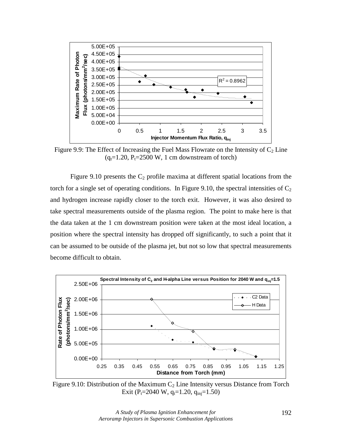

Figure 9.9: The Effect of Increasing the Fuel Mass Flowrate on the Intensity of  $C_2$  Line  $(q_t=1.20, P_t=2500 \text{ W}, 1 \text{ cm}$  downstream of torch)

Figure 9.10 presents the  $C_2$  profile maxima at different spatial locations from the torch for a single set of operating conditions. In Figure 9.10, the spectral intensities of  $C_2$ and hydrogen increase rapidly closer to the torch exit. However, it was also desired to take spectral measurements outside of the plasma region. The point to make here is that the data taken at the 1 cm downstream position were taken at the most ideal location, a position where the spectral intensity has dropped off significantly, to such a point that it can be assumed to be outside of the plasma jet, but not so low that spectral measurements become difficult to obtain.



Figure 9.10: Distribution of the Maximum  $C_2$  Line Intensity versus Distance from Torch Exit (P<sub>t</sub>=2040 W, q<sub>t</sub>=1.20, q<sub>inj</sub>=1.50)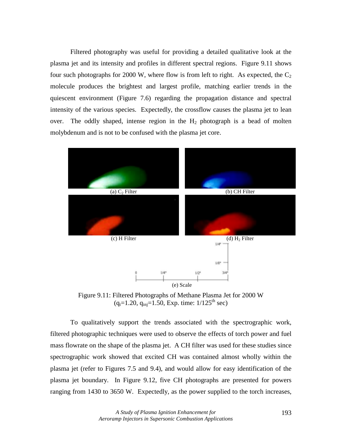Filtered photography was useful for providing a detailed qualitative look at the plasma jet and its intensity and profiles in different spectral regions. Figure 9.11 shows four such photographs for 2000 W, where flow is from left to right. As expected, the  $C_2$ molecule produces the brightest and largest profile, matching earlier trends in the quiescent environment (Figure 7.6) regarding the propagation distance and spectral intensity of the various species. Expectedly, the crossflow causes the plasma jet to lean over. The oddly shaped, intense region in the  $H_2$  photograph is a bead of molten molybdenum and is not to be confused with the plasma jet core.



Figure 9.11: Filtered Photographs of Methane Plasma Jet for 2000 W  $(q_t=1.20, q_{\text{ini}}=1.50, \text{Exp. time: } 1/125^{\text{th}} \text{ sec})$ 

 To qualitatively support the trends associated with the spectrographic work, filtered photographic techniques were used to observe the effects of torch power and fuel mass flowrate on the shape of the plasma jet. A CH filter was used for these studies since spectrographic work showed that excited CH was contained almost wholly within the plasma jet (refer to Figures 7.5 and 9.4), and would allow for easy identification of the plasma jet boundary. In Figure 9.12, five CH photographs are presented for powers ranging from 1430 to 3650 W. Expectedly, as the power supplied to the torch increases,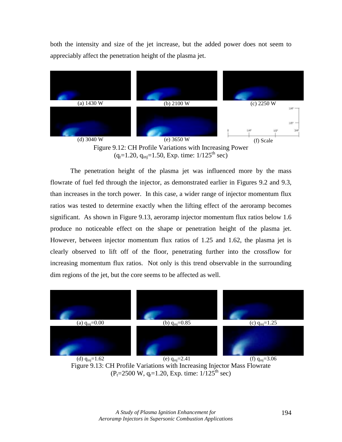both the intensity and size of the jet increase, but the added power does not seem to appreciably affect the penetration height of the plasma jet.



Figure 9.12: CH Profile Variations with Increasing Power  $(q_t=1.20, q_{inj}=1.50, Exp.$  time:  $1/125<sup>th</sup> sec)$ 

 The penetration height of the plasma jet was influenced more by the mass flowrate of fuel fed through the injector, as demonstrated earlier in Figures 9.2 and 9.3, than increases in the torch power. In this case, a wider range of injector momentum flux ratios was tested to determine exactly when the lifting effect of the aeroramp becomes significant. As shown in Figure 9.13, aeroramp injector momentum flux ratios below 1.6 produce no noticeable effect on the shape or penetration height of the plasma jet. However, between injector momentum flux ratios of 1.25 and 1.62, the plasma jet is clearly observed to lift off of the floor, penetrating further into the crossflow for increasing momentum flux ratios. Not only is this trend observable in the surrounding dim regions of the jet, but the core seems to be affected as well.



(d)  $q_{\text{inj}}=1.62$  (e)  $q_{\text{inj}}=2.41$  (f)  $q_{\text{inj}}=3.06$ Figure 9.13: CH Profile Variations with Increasing Injector Mass Flowrate  $(P_t=2500 \text{ W}, q_t=1.20, \text{Exp. time: } 1/125^{\text{th}} \text{ sec})$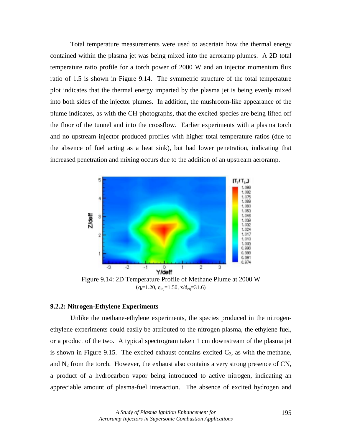Total temperature measurements were used to ascertain how the thermal energy contained within the plasma jet was being mixed into the aeroramp plumes. A 2D total temperature ratio profile for a torch power of 2000 W and an injector momentum flux ratio of 1.5 is shown in Figure 9.14. The symmetric structure of the total temperature plot indicates that the thermal energy imparted by the plasma jet is being evenly mixed into both sides of the injector plumes. In addition, the mushroom-like appearance of the plume indicates, as with the CH photographs, that the excited species are being lifted off the floor of the tunnel and into the crossflow. Earlier experiments with a plasma torch and no upstream injector produced profiles with higher total temperature ratios (due to the absence of fuel acting as a heat sink), but had lower penetration, indicating that increased penetration and mixing occurs due to the addition of an upstream aeroramp.



Figure 9.14: 2D Temperature Profile of Methane Plume at 2000 W  $(q_t=1.20, q_{in}=1.50, x/d_{eq}=31.6)$ 

#### **9.2.2: Nitrogen-Ethylene Experiments**

 Unlike the methane-ethylene experiments, the species produced in the nitrogenethylene experiments could easily be attributed to the nitrogen plasma, the ethylene fuel, or a product of the two. A typical spectrogram taken 1 cm downstream of the plasma jet is shown in Figure 9.15. The excited exhaust contains excited  $C_2$ , as with the methane, and  $N_2$  from the torch. However, the exhaust also contains a very strong presence of CN, a product of a hydrocarbon vapor being introduced to active nitrogen, indicating an appreciable amount of plasma-fuel interaction. The absence of excited hydrogen and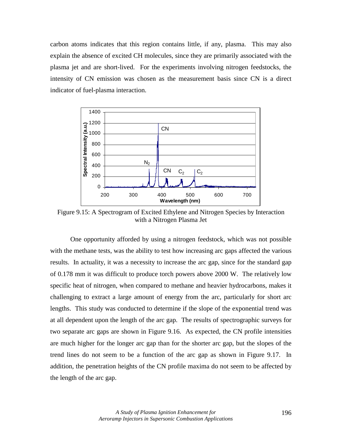carbon atoms indicates that this region contains little, if any, plasma. This may also explain the absence of excited CH molecules, since they are primarily associated with the plasma jet and are short-lived. For the experiments involving nitrogen feedstocks, the intensity of CN emission was chosen as the measurement basis since CN is a direct indicator of fuel-plasma interaction.



Figure 9.15: A Spectrogram of Excited Ethylene and Nitrogen Species by Interaction with a Nitrogen Plasma Jet

 One opportunity afforded by using a nitrogen feedstock, which was not possible with the methane tests, was the ability to test how increasing arc gaps affected the various results. In actuality, it was a necessity to increase the arc gap, since for the standard gap of 0.178 mm it was difficult to produce torch powers above 2000 W. The relatively low specific heat of nitrogen, when compared to methane and heavier hydrocarbons, makes it challenging to extract a large amount of energy from the arc, particularly for short arc lengths. This study was conducted to determine if the slope of the exponential trend was at all dependent upon the length of the arc gap. The results of spectrographic surveys for two separate arc gaps are shown in Figure 9.16. As expected, the CN profile intensities are much higher for the longer arc gap than for the shorter arc gap, but the slopes of the trend lines do not seem to be a function of the arc gap as shown in Figure 9.17. In addition, the penetration heights of the CN profile maxima do not seem to be affected by the length of the arc gap.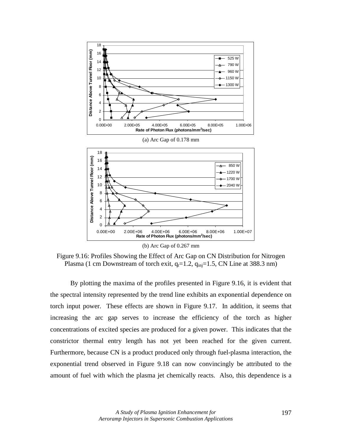

Figure 9.16: Profiles Showing the Effect of Arc Gap on CN Distribution for Nitrogen Plasma (1 cm Downstream of torch exit,  $q_t=1.2$ ,  $q_{inj}=1.5$ , CN Line at 388.3 nm)

By plotting the maxima of the profiles presented in Figure 9.16, it is evident that the spectral intensity represented by the trend line exhibits an exponential dependence on torch input power. These effects are shown in Figure 9.17. In addition, it seems that increasing the arc gap serves to increase the efficiency of the torch as higher concentrations of excited species are produced for a given power. This indicates that the constrictor thermal entry length has not yet been reached for the given current. Furthermore, because CN is a product produced only through fuel-plasma interaction, the exponential trend observed in Figure 9.18 can now convincingly be attributed to the amount of fuel with which the plasma jet chemically reacts. Also, this dependence is a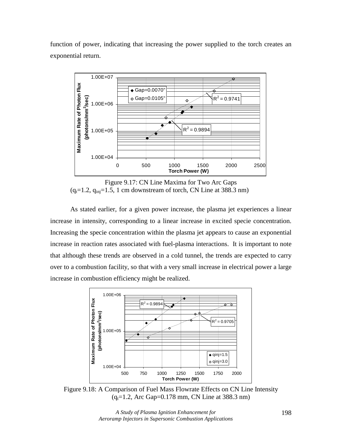function of power, indicating that increasing the power supplied to the torch creates an exponential return.



Figure 9.17: CN Line Maxima for Two Arc Gaps  $(q_t=1.2, q_{\text{ini}}=1.5, 1 \text{ cm}$  downstream of torch, CN Line at 388.3 nm)

As stated earlier, for a given power increase, the plasma jet experiences a linear increase in intensity, corresponding to a linear increase in excited specie concentration. Increasing the specie concentration within the plasma jet appears to cause an exponential increase in reaction rates associated with fuel-plasma interactions. It is important to note that although these trends are observed in a cold tunnel, the trends are expected to carry over to a combustion facility, so that with a very small increase in electrical power a large increase in combustion efficiency might be realized.



Figure 9.18: A Comparison of Fuel Mass Flowrate Effects on CN Line Intensity  $(q_t=1.2, Arc Gap=0.178 mm, CN Line at 388.3 nm)$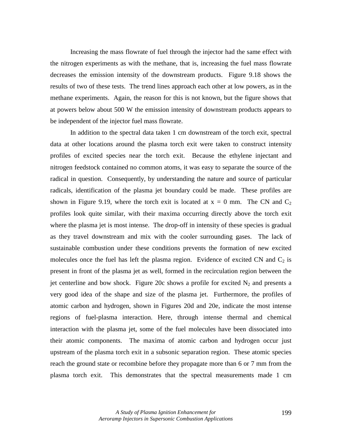Increasing the mass flowrate of fuel through the injector had the same effect with the nitrogen experiments as with the methane, that is, increasing the fuel mass flowrate decreases the emission intensity of the downstream products. Figure 9.18 shows the results of two of these tests. The trend lines approach each other at low powers, as in the methane experiments. Again, the reason for this is not known, but the figure shows that at powers below about 500 W the emission intensity of downstream products appears to be independent of the injector fuel mass flowrate.

In addition to the spectral data taken 1 cm downstream of the torch exit, spectral data at other locations around the plasma torch exit were taken to construct intensity profiles of excited species near the torch exit. Because the ethylene injectant and nitrogen feedstock contained no common atoms, it was easy to separate the source of the radical in question. Consequently, by understanding the nature and source of particular radicals, identification of the plasma jet boundary could be made. These profiles are shown in Figure 9.19, where the torch exit is located at  $x = 0$  mm. The CN and  $C_2$ profiles look quite similar, with their maxima occurring directly above the torch exit where the plasma jet is most intense. The drop-off in intensity of these species is gradual as they travel downstream and mix with the cooler surrounding gases. The lack of sustainable combustion under these conditions prevents the formation of new excited molecules once the fuel has left the plasma region. Evidence of excited CN and  $C_2$  is present in front of the plasma jet as well, formed in the recirculation region between the jet centerline and bow shock. Figure 20c shows a profile for excited  $N_2$  and presents a very good idea of the shape and size of the plasma jet. Furthermore, the profiles of atomic carbon and hydrogen, shown in Figures 20d and 20e, indicate the most intense regions of fuel-plasma interaction. Here, through intense thermal and chemical interaction with the plasma jet, some of the fuel molecules have been dissociated into their atomic components. The maxima of atomic carbon and hydrogen occur just upstream of the plasma torch exit in a subsonic separation region. These atomic species reach the ground state or recombine before they propagate more than 6 or 7 mm from the plasma torch exit. This demonstrates that the spectral measurements made 1 cm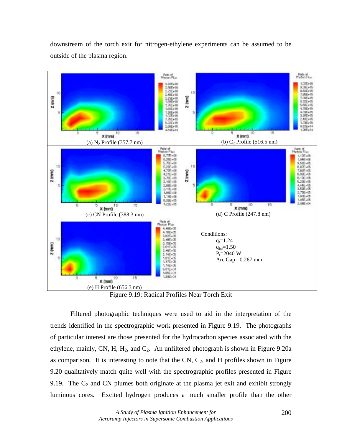

downstream of the torch exit for nitrogen-ethylene experiments can be assumed to be outside of the plasma region.

Figure 9.19: Radical Profiles Near Torch Exit

 Filtered photographic techniques were used to aid in the interpretation of the trends identified in the spectrographic work presented in Figure 9.19. The photographs of particular interest are those presented for the hydrocarbon species associated with the ethylene, mainly, CN, H, H<sub>2</sub>, and C<sub>2</sub>. An unfiltered photograph is shown in Figure 9.20a as comparison. It is interesting to note that the CN,  $C_2$ , and H profiles shown in Figure 9.20 qualitatively match quite well with the spectrographic profiles presented in Figure 9.19. The  $C_2$  and CN plumes both originate at the plasma jet exit and exhibit strongly luminous cores. Excited hydrogen produces a much smaller profile than the other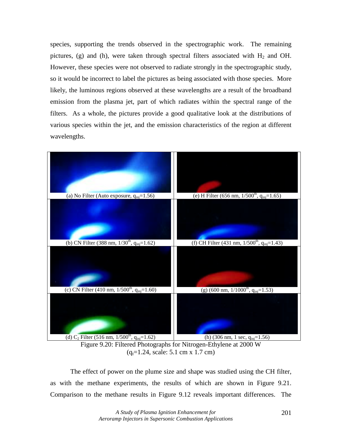species, supporting the trends observed in the spectrographic work. The remaining pictures, (g) and (h), were taken through spectral filters associated with  $H_2$  and OH. However, these species were not observed to radiate strongly in the spectrographic study, so it would be incorrect to label the pictures as being associated with those species. More likely, the luminous regions observed at these wavelengths are a result of the broadband emission from the plasma jet, part of which radiates within the spectral range of the filters. As a whole, the pictures provide a good qualitative look at the distributions of various species within the jet, and the emission characteristics of the region at different wavelengths.



Figure 9.20: Filtered Photographs for Nitrogen-Ethylene at 2000 W  $(q_t=1.24, scale: 5.1 cm x 1.7 cm)$ 

 The effect of power on the plume size and shape was studied using the CH filter, as with the methane experiments, the results of which are shown in Figure 9.21. Comparison to the methane results in Figure 9.12 reveals important differences. The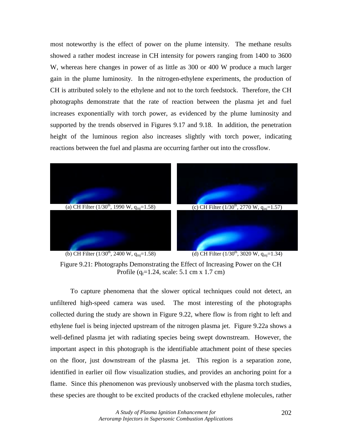most noteworthy is the effect of power on the plume intensity. The methane results showed a rather modest increase in CH intensity for powers ranging from 1400 to 3600 W, whereas here changes in power of as little as 300 or 400 W produce a much larger gain in the plume luminosity. In the nitrogen-ethylene experiments, the production of CH is attributed solely to the ethylene and not to the torch feedstock. Therefore, the CH photographs demonstrate that the rate of reaction between the plasma jet and fuel increases exponentially with torch power, as evidenced by the plume luminosity and supported by the trends observed in Figures 9.17 and 9.18. In addition, the penetration height of the luminous region also increases slightly with torch power, indicating reactions between the fuel and plasma are occurring farther out into the crossflow.



(b) CH Filter  $(1/30^{th}, 2400 \text{ W}, q_{\text{ini}}=1.58)$  (d) CH Filter  $(1/30^{th}, 3020 \text{ W}, q_{\text{ini}}=1.34)$ 

Figure 9.21: Photographs Demonstrating the Effect of Increasing Power on the CH Profile ( $q_t$ =1.24, scale: 5.1 cm x 1.7 cm)

To capture phenomena that the slower optical techniques could not detect, an unfiltered high-speed camera was used. The most interesting of the photographs collected during the study are shown in Figure 9.22, where flow is from right to left and ethylene fuel is being injected upstream of the nitrogen plasma jet. Figure 9.22a shows a well-defined plasma jet with radiating species being swept downstream. However, the important aspect in this photograph is the identifiable attachment point of these species on the floor, just downstream of the plasma jet. This region is a separation zone, identified in earlier oil flow visualization studies, and provides an anchoring point for a flame. Since this phenomenon was previously unobserved with the plasma torch studies, these species are thought to be excited products of the cracked ethylene molecules, rather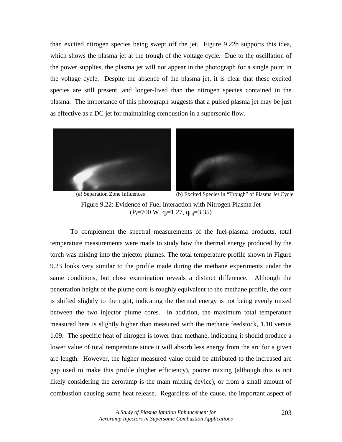than excited nitrogen species being swept off the jet. Figure 9.22b supports this idea, which shows the plasma jet at the trough of the voltage cycle. Due to the oscillation of the power supplies, the plasma jet will not appear in the photograph for a single point in the voltage cycle. Despite the absence of the plasma jet, it is clear that these excited species are still present, and longer-lived than the nitrogen species contained in the plasma. The importance of this photograph suggests that a pulsed plasma jet may be just as effective as a DC jet for maintaining combustion in a supersonic flow.



(a) Separation Zone Influences (b) Excited Species in "Trough" of Plasma Jet Cycle Figure 9.22: Evidence of Fuel Interaction with Nitrogen Plasma Jet  $(P_t=700 \text{ W}, q_t=1.27, q_{\text{ini}}=3.35)$ 

 To complement the spectral measurements of the fuel-plasma products, total temperature measurements were made to study how the thermal energy produced by the torch was mixing into the injector plumes. The total temperature profile shown in Figure 9.23 looks very similar to the profile made during the methane experiments under the same conditions, but close examination reveals a distinct difference. Although the penetration height of the plume core is roughly equivalent to the methane profile, the core is shifted slightly to the right, indicating the thermal energy is not being evenly mixed between the two injector plume cores. In addition, the maximum total temperature measured here is slightly higher than measured with the methane feedstock, 1.10 versus 1.09. The specific heat of nitrogen is lower than methane, indicating it should produce a lower value of total temperature since it will absorb less energy from the arc for a given arc length. However, the higher measured value could be attributed to the increased arc gap used to make this profile (higher efficiency), poorer mixing (although this is not likely considering the aeroramp is the main mixing device), or from a small amount of combustion causing some heat release. Regardless of the cause, the important aspect of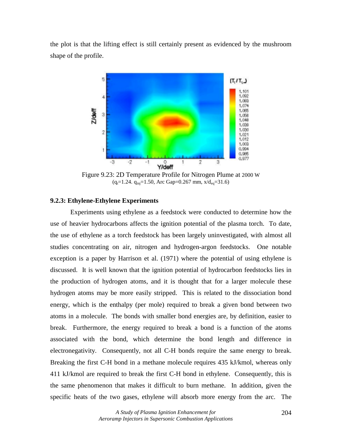the plot is that the lifting effect is still certainly present as evidenced by the mushroom shape of the profile.



Figure 9.23: 2D Temperature Profile for Nitrogen Plume at 2000 W  $(q_t=1.24. q_{ini}=1.50, Arc Gap=0.267 mm, x/d_{eq}=31.6)$ 

## **9.2.3: Ethylene-Ethylene Experiments**

 Experiments using ethylene as a feedstock were conducted to determine how the use of heavier hydrocarbons affects the ignition potential of the plasma torch. To date, the use of ethylene as a torch feedstock has been largely uninvestigated, with almost all studies concentrating on air, nitrogen and hydrogen-argon feedstocks. One notable exception is a paper by Harrison et al. (1971) where the potential of using ethylene is discussed. It is well known that the ignition potential of hydrocarbon feedstocks lies in the production of hydrogen atoms, and it is thought that for a larger molecule these hydrogen atoms may be more easily stripped. This is related to the dissociation bond energy, which is the enthalpy (per mole) required to break a given bond between two atoms in a molecule. The bonds with smaller bond energies are, by definition, easier to break. Furthermore, the energy required to break a bond is a function of the atoms associated with the bond, which determine the bond length and difference in electronegativity. Consequently, not all C-H bonds require the same energy to break. Breaking the first C-H bond in a methane molecule requires 435 kJ/kmol, whereas only 411 kJ/kmol are required to break the first C-H bond in ethylene. Consequently, this is the same phenomenon that makes it difficult to burn methane. In addition, given the specific heats of the two gases, ethylene will absorb more energy from the arc. The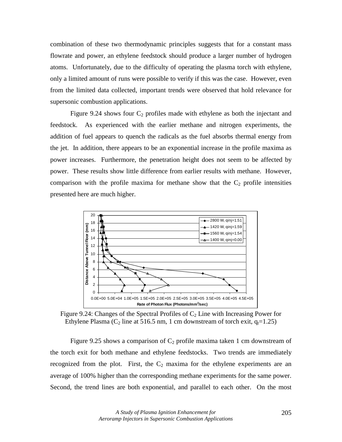combination of these two thermodynamic principles suggests that for a constant mass flowrate and power, an ethylene feedstock should produce a larger number of hydrogen atoms. Unfortunately, due to the difficulty of operating the plasma torch with ethylene, only a limited amount of runs were possible to verify if this was the case. However, even from the limited data collected, important trends were observed that hold relevance for supersonic combustion applications.

Figure 9.24 shows four  $C_2$  profiles made with ethylene as both the injectant and feedstock. As experienced with the earlier methane and nitrogen experiments, the addition of fuel appears to quench the radicals as the fuel absorbs thermal energy from the jet. In addition, there appears to be an exponential increase in the profile maxima as power increases. Furthermore, the penetration height does not seem to be affected by power. These results show little difference from earlier results with methane. However, comparison with the profile maxima for methane show that the  $C_2$  profile intensities presented here are much higher.



Figure 9.24: Changes of the Spectral Profiles of  $C_2$  Line with Increasing Power for Ethylene Plasma ( $C_2$  line at 516.5 nm, 1 cm downstream of torch exit,  $q_t=1.25$ )

Figure 9.25 shows a comparison of  $C_2$  profile maxima taken 1 cm downstream of the torch exit for both methane and ethylene feedstocks. Two trends are immediately recognized from the plot. First, the  $C_2$  maxima for the ethylene experiments are an average of 100% higher than the corresponding methane experiments for the same power. Second, the trend lines are both exponential, and parallel to each other. On the most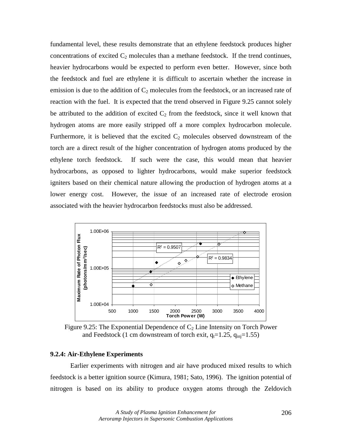fundamental level, these results demonstrate that an ethylene feedstock produces higher concentrations of excited  $C_2$  molecules than a methane feedstock. If the trend continues, heavier hydrocarbons would be expected to perform even better. However, since both the feedstock and fuel are ethylene it is difficult to ascertain whether the increase in emission is due to the addition of  $C_2$  molecules from the feedstock, or an increased rate of reaction with the fuel. It is expected that the trend observed in Figure 9.25 cannot solely be attributed to the addition of excited  $C_2$  from the feedstock, since it well known that hydrogen atoms are more easily stripped off a more complex hydrocarbon molecule. Furthermore, it is believed that the excited  $C_2$  molecules observed downstream of the torch are a direct result of the higher concentration of hydrogen atoms produced by the ethylene torch feedstock. If such were the case, this would mean that heavier hydrocarbons, as opposed to lighter hydrocarbons, would make superior feedstock igniters based on their chemical nature allowing the production of hydrogen atoms at a lower energy cost. However, the issue of an increased rate of electrode erosion associated with the heavier hydrocarbon feedstocks must also be addressed.



Figure 9.25: The Exponential Dependence of  $C_2$  Line Intensity on Torch Power and Feedstock (1 cm downstream of torch exit,  $q_t=1.25$ ,  $q_{ini}=1.55$ )

## **9.2.4: Air-Ethylene Experiments**

 Earlier experiments with nitrogen and air have produced mixed results to which feedstock is a better ignition source (Kimura, 1981; Sato, 1996). The ignition potential of nitrogen is based on its ability to produce oxygen atoms through the Zeldovich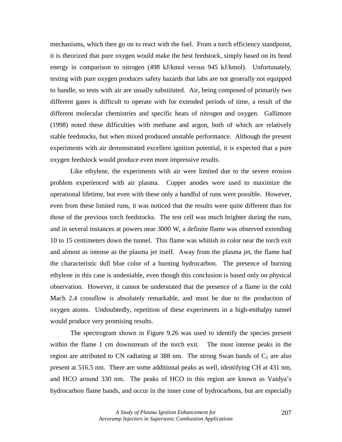mechanisms, which then go on to react with the fuel. From a torch efficiency standpoint, it is theorized that pure oxygen would make the best feedstock, simply based on its bond energy in comparison to nitrogen (498 kJ/kmol versus 945 kJ/kmol). Unfortunately, testing with pure oxygen produces safety hazards that labs are not generally not equipped to handle, so tests with air are usually substituted. Air, being composed of primarily two different gases is difficult to operate with for extended periods of time, a result of the different molecular chemistries and specific heats of nitrogen and oxygen. Gallimore (1998) noted these difficulties with methane and argon, both of which are relatively stable feedstocks, but when mixed produced unstable performance. Although the present experiments with air demonstrated excellent ignition potential, it is expected that a pure oxygen feedstock would produce even more impressive results.

Like ethylene, the experiments with air were limited due to the severe erosion problem experienced with air plasma. Copper anodes were used to maximize the operational lifetime, but even with these only a handful of runs were possible. However, even from these limited runs, it was noticed that the results were quite different than for those of the previous torch feedstocks. The test cell was much brighter during the runs, and in several instances at powers near 3000 W, a definite flame was observed extending 10 to 15 centimeters down the tunnel. This flame was whitish in color near the torch exit and almost as intense as the plasma jet itself. Away from the plasma jet, the flame had the characteristic dull blue color of a burning hydrocarbon. The presence of burning ethylene in this case is undeniable, even though this conclusion is based only on physical observation. However, it cannot be understated that the presence of a flame in the cold Mach 2.4 crossflow is absolutely remarkable, and must be due to the production of oxygen atoms. Undoubtedly, repetition of these experiments in a high-enthalpy tunnel would produce very promising results.

 The spectrogram shown in Figure 9.26 was used to identify the species present within the flame 1 cm downstream of the torch exit. The most intense peaks in the region are attributed to CN radiating at 388 nm. The strong Swan bands of  $C_2$  are also present at 516.5 nm. There are some additional peaks as well, identifying CH at 431 nm, and HCO around 330 nm. The peaks of HCO in this region are known as Vaidya's hydrocarbon flame bands, and occur in the inner cone of hydrocarbons, but are especially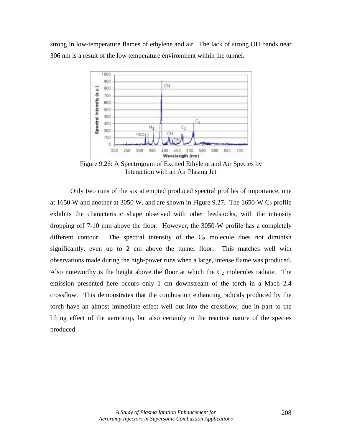strong in low-temperature flames of ethylene and air. The lack of strong OH bands near 306 nm is a result of the low temperature environment within the tunnel.



Figure 9.26: A Spectrogram of Excited Ethylene and Air Species by Interaction with an Air Plasma Jet

 Only two runs of the six attempted produced spectral profiles of importance, one at 1650 W and another at 3050 W, and are shown in Figure 9.27. The 1650-W  $C_2$  profile exhibits the characteristic shape observed with other feedstocks, with the intensity dropping off 7-10 mm above the floor. However, the 3050-W profile has a completely different contour. The spectral intensity of the  $C_2$  molecule does not diminish significantly, even up to 2 cm above the tunnel floor. This matches well with observations made during the high-power runs when a large, intense flame was produced. Also noteworthy is the height above the floor at which the  $C_2$  molecules radiate. The emission presented here occurs only 1 cm downstream of the torch in a Mach 2.4 crossflow. This demonstrates that the combustion enhancing radicals produced by the torch have an almost immediate effect well out into the crossflow, due in part to the lifting effect of the aeroramp, but also certainly to the reactive nature of the species produced.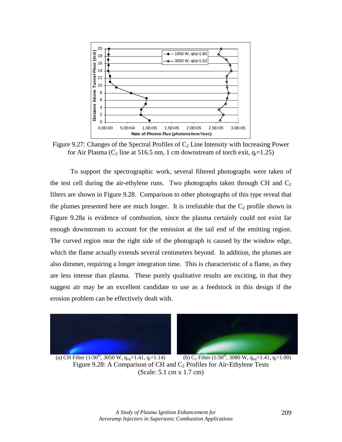

Figure 9.27: Changes of the Spectral Profiles of  $C_2$  Line Intensity with Increasing Power for Air Plasma ( $C_2$  line at 516.5 nm, 1 cm downstream of torch exit,  $q_t=1.25$ )

 To support the spectrographic work, several filtered photographs were taken of the test cell during the air-ethylene runs. Two photographs taken through CH and  $C_2$ filters are shown in Figure 9.28. Comparison to other photographs of this type reveal that the plumes presented here are much longer. It is irrefutable that the  $C_2$  profile shown in Figure 9.28a is evidence of combustion, since the plasma certainly could not exist far enough downstream to account for the emission at the tail end of the emitting region. The curved region near the right side of the photograph is caused by the window edge, which the flame actually extends several centimeters beyond. In addition, the plumes are also dimmer, requiring a longer integration time. This is characteristic of a flame, as they are less intense than plasma. These purely qualitative results are exciting, in that they suggest air may be an excellent candidate to use as a feedstock in this design if the erosion problem can be effectively dealt with.



(a) CH Filter  $(1/30^{th}, 3050 \text{ W}, q_{inj}=1.41, q_t=1.14)$  (b) C<sub>2</sub> Filter  $(1/30^{th}, 3080 \text{ W}, q_{inj}=1.41, q_t=1.00)$ Figure 9.28: A Comparison of CH and  $C_2$  Profiles for Air-Ethylene Tests (Scale: 5.1 cm x 1.7 cm)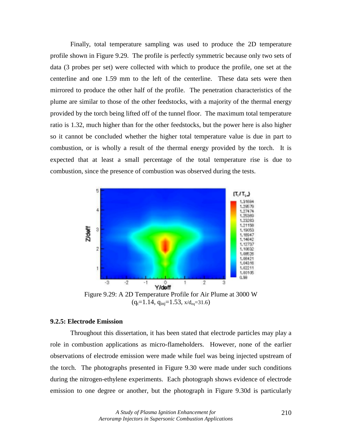Finally, total temperature sampling was used to produce the 2D temperature profile shown in Figure 9.29. The profile is perfectly symmetric because only two sets of data (3 probes per set) were collected with which to produce the profile, one set at the centerline and one 1.59 mm to the left of the centerline. These data sets were then mirrored to produce the other half of the profile. The penetration characteristics of the plume are similar to those of the other feedstocks, with a majority of the thermal energy provided by the torch being lifted off of the tunnel floor. The maximum total temperature ratio is 1.32, much higher than for the other feedstocks, but the power here is also higher so it cannot be concluded whether the higher total temperature value is due in part to combustion, or is wholly a result of the thermal energy provided by the torch. It is expected that at least a small percentage of the total temperature rise is due to combustion, since the presence of combustion was observed during the tests.



 $(q_t=1.14, q_{inj}=1.53, x/d_{eq}=31.6)$ 

## **9.2.5: Electrode Emission**

 Throughout this dissertation, it has been stated that electrode particles may play a role in combustion applications as micro-flameholders. However, none of the earlier observations of electrode emission were made while fuel was being injected upstream of the torch. The photographs presented in Figure 9.30 were made under such conditions during the nitrogen-ethylene experiments. Each photograph shows evidence of electrode emission to one degree or another, but the photograph in Figure 9.30d is particularly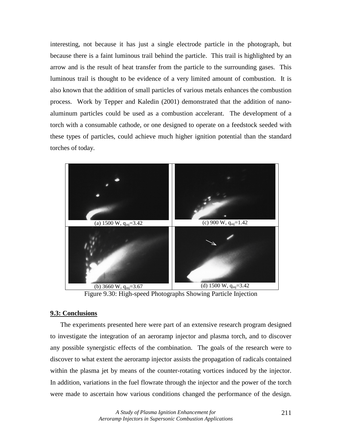interesting, not because it has just a single electrode particle in the photograph, but because there is a faint luminous trail behind the particle. This trail is highlighted by an arrow and is the result of heat transfer from the particle to the surrounding gases. This luminous trail is thought to be evidence of a very limited amount of combustion. It is also known that the addition of small particles of various metals enhances the combustion process. Work by Tepper and Kaledin (2001) demonstrated that the addition of nanoaluminum particles could be used as a combustion accelerant. The development of a torch with a consumable cathode, or one designed to operate on a feedstock seeded with these types of particles, could achieve much higher ignition potential than the standard torches of today.



Figure 9.30: High-speed Photographs Showing Particle Injection

# **9.3: Conclusions**

The experiments presented here were part of an extensive research program designed to investigate the integration of an aeroramp injector and plasma torch, and to discover any possible synergistic effects of the combination. The goals of the research were to discover to what extent the aeroramp injector assists the propagation of radicals contained within the plasma jet by means of the counter-rotating vortices induced by the injector. In addition, variations in the fuel flowrate through the injector and the power of the torch were made to ascertain how various conditions changed the performance of the design.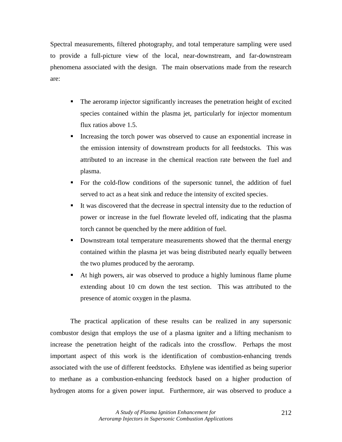Spectral measurements, filtered photography, and total temperature sampling were used to provide a full-picture view of the local, near-downstream, and far-downstream phenomena associated with the design. The main observations made from the research are:

- ! The aeroramp injector significantly increases the penetration height of excited species contained within the plasma jet, particularly for injector momentum flux ratios above 1.5.
- ! Increasing the torch power was observed to cause an exponential increase in the emission intensity of downstream products for all feedstocks. This was attributed to an increase in the chemical reaction rate between the fuel and plasma.
- ! For the cold-flow conditions of the supersonic tunnel, the addition of fuel served to act as a heat sink and reduce the intensity of excited species.
- ! It was discovered that the decrease in spectral intensity due to the reduction of power or increase in the fuel flowrate leveled off, indicating that the plasma torch cannot be quenched by the mere addition of fuel.
- ! Downstream total temperature measurements showed that the thermal energy contained within the plasma jet was being distributed nearly equally between the two plumes produced by the aeroramp.
- ! At high powers, air was observed to produce a highly luminous flame plume extending about 10 cm down the test section. This was attributed to the presence of atomic oxygen in the plasma.

The practical application of these results can be realized in any supersonic combustor design that employs the use of a plasma igniter and a lifting mechanism to increase the penetration height of the radicals into the crossflow. Perhaps the most important aspect of this work is the identification of combustion-enhancing trends associated with the use of different feedstocks. Ethylene was identified as being superior to methane as a combustion-enhancing feedstock based on a higher production of hydrogen atoms for a given power input. Furthermore, air was observed to produce a